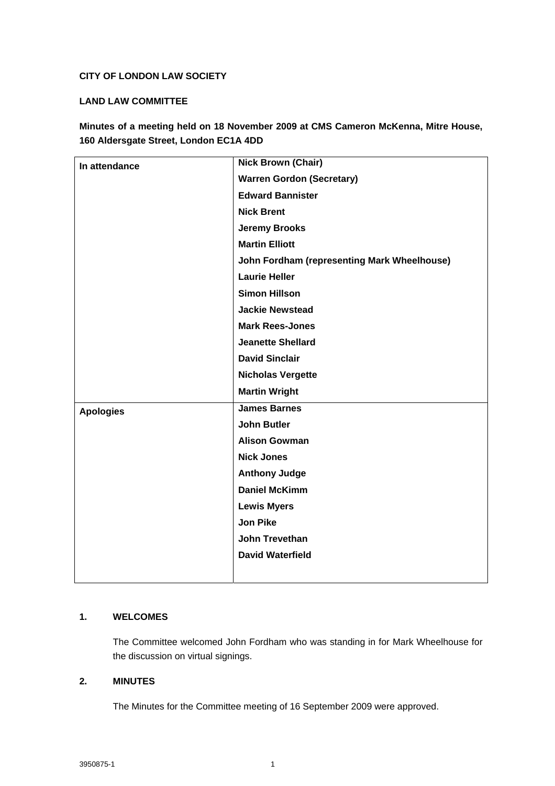## **CITY OF LONDON LAW SOCIETY**

## **LAND LAW COMMITTEE**

**Minutes of a meeting held on 18 November 2009 at CMS Cameron McKenna, Mitre House, 160 Aldersgate Street, London EC1A 4DD**

| In attendance    | <b>Nick Brown (Chair)</b>                   |
|------------------|---------------------------------------------|
|                  | <b>Warren Gordon (Secretary)</b>            |
|                  | <b>Edward Bannister</b>                     |
|                  | <b>Nick Brent</b>                           |
|                  | <b>Jeremy Brooks</b>                        |
|                  | <b>Martin Elliott</b>                       |
|                  | John Fordham (representing Mark Wheelhouse) |
|                  | <b>Laurie Heller</b>                        |
|                  | <b>Simon Hillson</b>                        |
|                  | <b>Jackie Newstead</b>                      |
|                  | <b>Mark Rees-Jones</b>                      |
|                  | <b>Jeanette Shellard</b>                    |
|                  | <b>David Sinclair</b>                       |
|                  | <b>Nicholas Vergette</b>                    |
|                  | <b>Martin Wright</b>                        |
| <b>Apologies</b> | <b>James Barnes</b>                         |
|                  | <b>John Butler</b>                          |
|                  | <b>Alison Gowman</b>                        |
|                  | <b>Nick Jones</b>                           |
|                  | <b>Anthony Judge</b>                        |
|                  | <b>Daniel McKimm</b>                        |
|                  | <b>Lewis Myers</b>                          |
|                  | <b>Jon Pike</b>                             |
|                  | <b>John Trevethan</b>                       |
|                  | <b>David Waterfield</b>                     |
|                  |                                             |
|                  |                                             |

### **1. WELCOMES**

The Committee welcomed John Fordham who was standing in for Mark Wheelhouse for the discussion on virtual signings.

## **2. MINUTES**

The Minutes for the Committee meeting of 16 September 2009 were approved.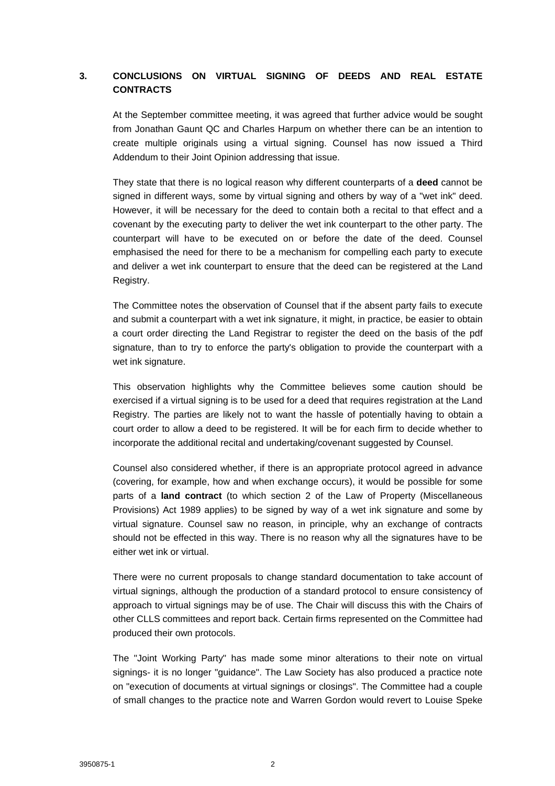# **3. CONCLUSIONS ON VIRTUAL SIGNING OF DEEDS AND REAL ESTATE CONTRACTS**

At the September committee meeting, it was agreed that further advice would be sought from Jonathan Gaunt QC and Charles Harpum on whether there can be an intention to create multiple originals using a virtual signing. Counsel has now issued a Third Addendum to their Joint Opinion addressing that issue.

They state that there is no logical reason why different counterparts of a **deed** cannot be signed in different ways, some by virtual signing and others by way of a "wet ink" deed. However, it will be necessary for the deed to contain both a recital to that effect and a covenant by the executing party to deliver the wet ink counterpart to the other party. The counterpart will have to be executed on or before the date of the deed. Counsel emphasised the need for there to be a mechanism for compelling each party to execute and deliver a wet ink counterpart to ensure that the deed can be registered at the Land Registry.

The Committee notes the observation of Counsel that if the absent party fails to execute and submit a counterpart with a wet ink signature, it might, in practice, be easier to obtain a court order directing the Land Registrar to register the deed on the basis of the pdf signature, than to try to enforce the party's obligation to provide the counterpart with a wet ink signature.

This observation highlights why the Committee believes some caution should be exercised if a virtual signing is to be used for a deed that requires registration at the Land Registry. The parties are likely not to want the hassle of potentially having to obtain a court order to allow a deed to be registered. It will be for each firm to decide whether to incorporate the additional recital and undertaking/covenant suggested by Counsel.

Counsel also considered whether, if there is an appropriate protocol agreed in advance (covering, for example, how and when exchange occurs), it would be possible for some parts of a **land contract** (to which section 2 of the Law of Property (Miscellaneous Provisions) Act 1989 applies) to be signed by way of a wet ink signature and some by virtual signature. Counsel saw no reason, in principle, why an exchange of contracts should not be effected in this way. There is no reason why all the signatures have to be either wet ink or virtual.

There were no current proposals to change standard documentation to take account of virtual signings, although the production of a standard protocol to ensure consistency of approach to virtual signings may be of use. The Chair will discuss this with the Chairs of other CLLS committees and report back. Certain firms represented on the Committee had produced their own protocols.

The "Joint Working Party" has made some minor alterations to their note on virtual signings- it is no longer "guidance". The Law Society has also produced a practice note on "execution of documents at virtual signings or closings". The Committee had a couple of small changes to the practice note and Warren Gordon would revert to Louise Speke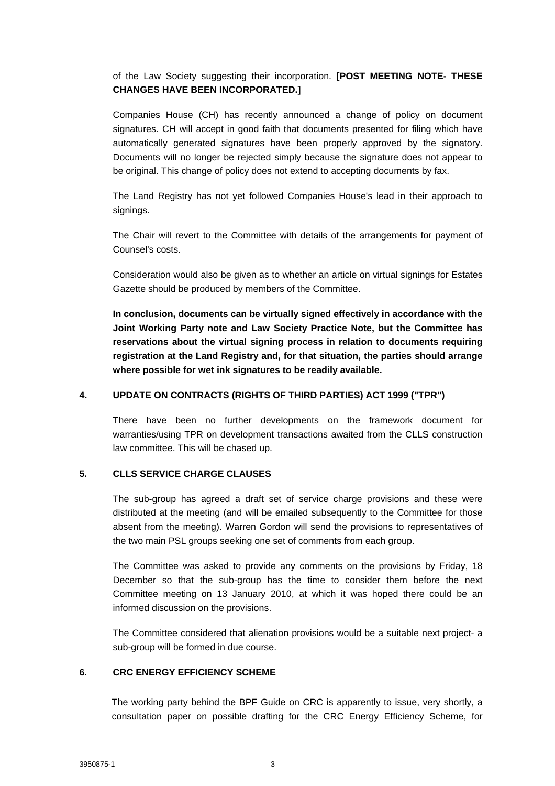of the Law Society suggesting their incorporation. **[POST MEETING NOTE- THESE CHANGES HAVE BEEN INCORPORATED.]**

Companies House (CH) has recently announced a change of policy on document signatures. CH will accept in good faith that documents presented for filing which have automatically generated signatures have been properly approved by the signatory. Documents will no longer be rejected simply because the signature does not appear to be original. This change of policy does not extend to accepting documents by fax.

The Land Registry has not yet followed Companies House's lead in their approach to signings.

The Chair will revert to the Committee with details of the arrangements for payment of Counsel's costs.

Consideration would also be given as to whether an article on virtual signings for Estates Gazette should be produced by members of the Committee.

**In conclusion, documents can be virtually signed effectively in accordance with the Joint Working Party note and Law Society Practice Note, but the Committee has reservations about the virtual signing process in relation to documents requiring registration at the Land Registry and, for that situation, the parties should arrange where possible for wet ink signatures to be readily available.** 

## **4. UPDATE ON CONTRACTS (RIGHTS OF THIRD PARTIES) ACT 1999 ("TPR")**

There have been no further developments on the framework document for warranties/using TPR on development transactions awaited from the CLLS construction law committee. This will be chased up.

### **5. CLLS SERVICE CHARGE CLAUSES**

The sub-group has agreed a draft set of service charge provisions and these were distributed at the meeting (and will be emailed subsequently to the Committee for those absent from the meeting). Warren Gordon will send the provisions to representatives of the two main PSL groups seeking one set of comments from each group.

The Committee was asked to provide any comments on the provisions by Friday, 18 December so that the sub-group has the time to consider them before the next Committee meeting on 13 January 2010, at which it was hoped there could be an informed discussion on the provisions.

The Committee considered that alienation provisions would be a suitable next project- a sub-group will be formed in due course.

### **6. CRC ENERGY EFFICIENCY SCHEME**

The working party behind the BPF Guide on CRC is apparently to issue, very shortly, a consultation paper on possible drafting for the CRC Energy Efficiency Scheme, for